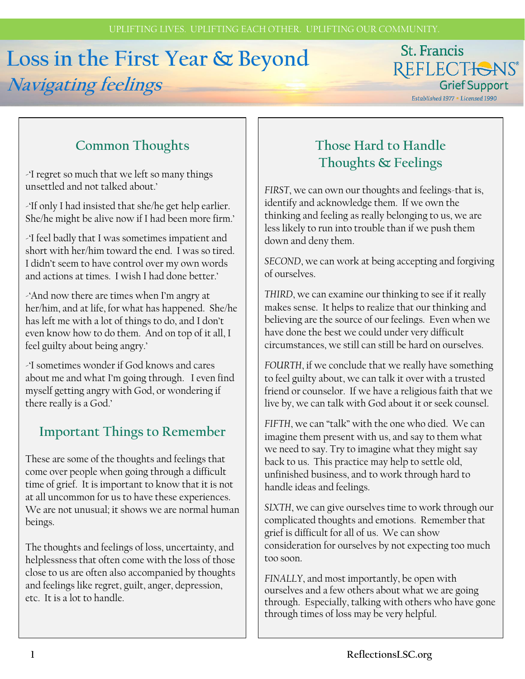# **Loss in the First Year & Beyond Navigating feelings**

## St. Francis REFLECTIONS® **Grief Support**

Established 1977 . Licensed 1990

## **Common Thoughts**

-'I regret so much that we left so many things unsettled and not talked about.'

-'If only I had insisted that she/he get help earlier. She/he might be alive now if I had been more firm.'

-'I feel badly that I was sometimes impatient and short with her/him toward the end. I was so tired. I didn't seem to have control over my own words and actions at times. I wish I had done better.'

-'And now there are times when I'm angry at her/him, and at life, for what has happened. She/he has left me with a lot of things to do, and I don't even know how to do them. And on top of it all, I feel guilty about being angry.'

-'I sometimes wonder if God knows and cares about me and what I'm going through. I even find myself getting angry with God, or wondering if there really is a God.'

#### **Important Things to Remember**

These are some of the thoughts and feelings that come over people when going through a difficult time of grief. It is important to know that it is not at all uncommon for us to have these experiences. We are not unusual; it shows we are normal human beings.

The thoughts and feelings of loss, uncertainty, and helplessness that often come with the loss of those close to us are often also accompanied by thoughts and feelings like regret, guilt, anger, depression, etc. It is a lot to handle.

## **Those Hard to Handle Thoughts & Feelings**

*FIRST*, we can own our thoughts and feelings-that is, identify and acknowledge them. If we own the thinking and feeling as really belonging to us, we are less likely to run into trouble than if we push them down and deny them.

*SECOND*, we can work at being accepting and forgiving of ourselves.

*THIRD*, we can examine our thinking to see if it really makes sense. It helps to realize that our thinking and believing are the source of our feelings. Even when we have done the best we could under very difficult circumstances, we still can still be hard on ourselves.

*FOURTH*, if we conclude that we really have something to feel guilty about, we can talk it over with a trusted friend or counselor. If we have a religious faith that we live by, we can talk with God about it or seek counsel.

*FIFTH*, we can "talk" with the one who died. We can imagine them present with us, and say to them what we need to say. Try to imagine what they might say back to us. This practice may help to settle old, unfinished business, and to work through hard to handle ideas and feelings.

*SIXTH*, we can give ourselves time to work through our complicated thoughts and emotions. Remember that grief is difficult for all of us. We can show consideration for ourselves by not expecting too much too soon.

*FINALLY*, and most importantly, be open with ourselves and a few others about what we are going through. Especially, talking with others who have gone through times of loss may be very helpful.